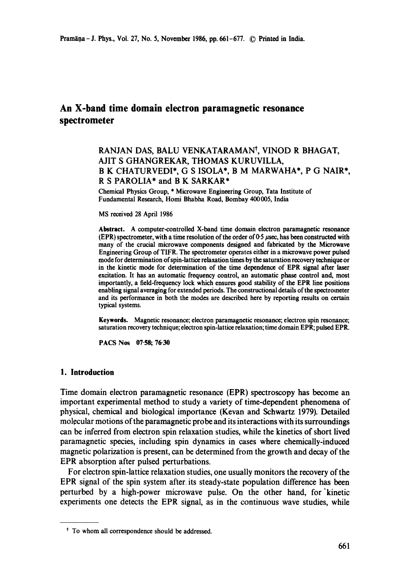# **An X-band time domain electron paramagnetic resonance spectrometer**

# RANJAN DAS, BALU VENKATARAMAN<sup>†</sup>, VINOD R BHAGAT, AJIT S GHANGREKAR, THOMAS KURUVILLA, B K CHATURVEDI\*, G S ISOLA\*, B M MARWAHA\*, P G NAIR\*, R S PAROLIA\* and B K SARKAR\*

Chemical Physics Group, \* Microwave Engineering Group, Tata Institute of Fundamental Research, Homi Bhabba Road, Bombay 400005, India

MS received 28 April 1986

**Abstract.** A computer-controlled X-band time domain electron paramagnetic resonance (EPR) spectrometer, with a time resolution of the order of  $0.5~\mu$ sec, has been constructed with many of the crucial microwave components designed and fabricated by the Microwave Engineering Group of TIFR. The spectrometer operates either in a microwave power pulsed mode for determination of spin-lattice relaxation times by the saturation recovery technique or in the kinetic mode for determination of the time dependence of EPR signal after laser excitation. It has an automatic frequency control, an automatic phase control and, most importantly, a field-frequency lock which ensures good stability of the EPR line positions enabling signal averaging for extended periods. The constructional details of the spectrometer and its performance in both the modes are described here by reporting results on certain typical systems.

Keywords. Magnetic resonance; electron paramagnetic resonance; electron spin resonance; saturation recovery technique; electron spin-lattice relaxation; time domain EPR; pulsed EPR.

PACS Nos 07.58; 76.30

# **1. Introduction**

Time domain electron paramagnetic resonance (EPR) spectroscopy has become an important experimental method to study a variety of time-dependent phenomena of physical, chemical and biological importance (Kevan and Schwartz 1979). Detailed molecular motions of the paramagnetic probe and its interactions with its surroundings can be inferred from electron spin relaxation studies, while the kinetics of short lived paramagnetic species, including spin dynamics in cases where chemically-induced magnetic polarization is present, can be determined from the growth and decay of the EPR absorption after pulsed perturbations.

For electron spin-lattice relaxation studies, one usually monitors the recovery of the EPR signal of the spin system after its steady-state population difference has been perturbed by a high-power microwave pulse. On the other hand, for "kinetic experiments one detects the EPR signal, as in the continuous wave studies, while

t To whom all correspondence should be addressed.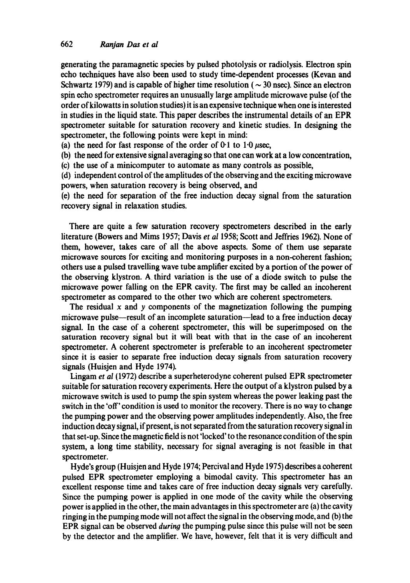generating the paramagnetic species by pulsed photolysis or radiolysis. Electron spin echo techniques have also been used to study time-dependent processes (Kevan and Schwartz 1979) and is capable of higher time resolution ( $\sim$  30 nsec). Since an electron spin echo spectrometer requires an unusually large amplitude microwave pulse (of the order of kilowatts in solution studies) it is an expensive technique when one is interested in studies in the liquid state. This paper describes the instrumental details of an EPR spectrometer suitable for saturation recovery and kinetic studies. In designing the spectrometer, the following points were kept in mind:

(a) the need for fast response of the order of  $0.1$  to  $1.0 \mu$ sec,

(b) the need for extensive signal averaging so that one can work at a low concentration,

(c) the use of a minicomputer to automate as many controls as possible,

(d) independent control of the amplitudes of the observing and the exciting microwave powers, when saturation recovery is being observed, and

(e) the need for separation of the free induction decay signal from the saturation recovery signal in relaxation studies.

There are quite a few saturation recovery spectrometers described in the early literature (Bowers and Mims 1957; Davis *et al* 1958; Scott and Jeffries 1962). None of them, however, takes care of all the above aspects. Some of them use separate microwave sources for exciting and monitoring purposes in a non-coherent fashion; others use a pulsed travelling wave tube amplifier excited by a portion of the power of the observing klystron. A third variation is the use of a diode switch to pulse the microwave power falling on the EPR cavity. The first may be called an incoherent spectrometer as compared to the other two which are coherent spectrometers.

The residual  $x$  and  $y$  components of the magnetization following the pumping microwave pulse--result of an incomplete saturation--lead to a free induction decay signal. In the case of a coherent spectrometer, this will be superimposed on the saturation recovery signal but it will beat with that in the case of an incoherent spectrometer. A coherent spectrometer is preferable to an incoherent spectrometer since it is easier to separate free induction decay signals from saturation recovery signals (Huisjen and Hyde 1974).

Lingam *et al* (1972) describe a superheterodyne coherent pulsed EPR spectrometer suitable for saturation recovery experiments. Here the output of a klystron pulsed by a microwave switch is used to pump the spin system whereas the power leaking past the switch in the 'off' condition is used to monitor the recovery. There is no way to change the pumping power and the observing power amplitudes independently. Also, the free induction decay signal, if present, is not separated from the saturation recovery signal in that set-up. Since the magnetic field is not 'locked' to the resonance condition of the spin system, a long time stability, necessary for signal averaging is not feasible in that spectrometer.

Hyde's group (Huisjen and Hyde 1974; Percival and Hyde 1975) describes a coherent pulsed EPR spectrometer employing a bimodal cavity. This spectrometer has an excellent response time and takes care of free induction decay signals very carefully. Since the pumping power is applied in one mode of the cavity while the observing power is applied in the other, the main advantages in this spectrometer are (a) the cavity ringing in the pumping mode will not affect the signal in the observing mode, and (b) the EPR signal can be observed *during* the pumping pulse since this pulse will not be seen by the detector and the amplifier. We have, however, felt that it is very difficult and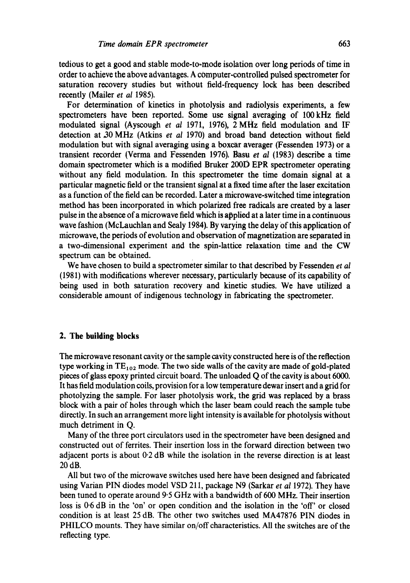tedious to get a good and stable mode-to-mode isolation over long periods of time in order to achieve the above advantages. A computer-controlled pulsed spectrometer for saturation recovery studies but without field-frequency lock has been described recently (Mailer *et al* 1985).

For determination of kinetics in photolysis and radiolysis experiments, a few spectrometers have been reported. Some use signal averaging of 100 kHz field modulated signal (Ayscough *et al* 1971, 1976), 2 MHz field modulation and IF detection at.30 MHz (Atkins *et al* 1970) and broad band detection without field modulation but with signal averaging using a boxcar averager (Fessenden 1973) or a transient recorder (Verma and Fessenden 1976). Basu et al (1983) describe a time domain spectrometer which is a modified Bruker 200D EPR spectrometer operating without any field modulation. In this spectrometer the time domain signal at a particular magnetic field or the transient signal at a fixed time after the laser excitation as a function of the field can be recorded. Later a microwave-switched time integration method has been incorporated in which polarized free radicals are created by a laser pulse in the absence of a microwave field which is applied at a later time in a continuous wave fashion (McLauchlan and Sealy 1984). By varying the delay of this application of microwave, the periods of evolution and observation of magnetization are separated in a two-dimensional experiment and the spin-lattice relaxation time and the CW spectrum can be obtained.

We have chosen to build a spectrometer similar to that described by Fessenden *et al*  (1981) with modifications wherever necessary, particularly because of its capability of being used in both saturation recovery and kinetic studies. We have utilized a considerable amount of indigenous technology in fabricating the spectrometer.

#### **2. The building blocks**

The microwave resonant cavity or the sample cavity constructed here is of the reflection type working in  $TE_{102}$  mode. The two side walls of the cavity are made of gold-plated pieces of glass epoxy printed circuit board. The unloaded Q of the cavity is about 6000. It has field modulation coils, provision for a low temperature dewar insert and a grid for photolyzing the sample. For laser photolysis work, the grid was replaced by a brass block with a pair of holes through which the laser beam could reach the sample tube directly. In such an arrangement more light intensity is available for photolysis without much detriment in Q.

Many of the three port circulators used in the spectrometer have been designed and constructed out of ferrites. Their insertion loss in the forward direction between two adjacent ports is about 0.2 dB while the isolation in the reverse direction is at least 20 dB.

All but two of the microwave switches used here have been designed and fabricated using Varian PIN diodes model VSD 211, package N9 (Sarkar *et al 1972*). They have been tuned to operate around 9.5 GHz with a bandwidth of 600 MHz. Their insertion loss is 0.6 dB in the 'on' or open condition and the isolation in the 'off' or closed condition is at least 25 dB. The other two switches used MA47876 PIN diodes in PHILCO mounts. They have similar on/off characteristics. All the switches are of the reflecting type.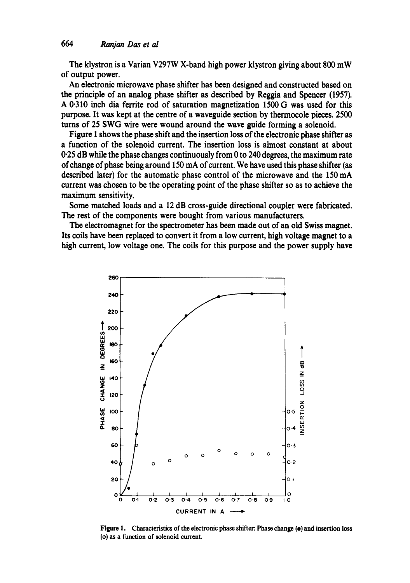**The klystron is a Varian V297W X-band high power klystron giving about 800 mW of output power.** 

**An electronic microwave phase shifter has been designed and constructed based on the principle of an analog phase shifter as described by Reggia and Spencer (1957). A 0.310 inch dia ferrite rod of saturation magnetization 1500 G was used for this purpose. It was kept at the centre of a waveguide section by thermocole pieces. 2500 turns of 25 SWG wire were wound around the wave guide forming a solenoid.** 

**Figure 1 shows the phase shift and the insertion loss of the electronic phase shifter as a function of the solenoid current. The insertion loss is almost constant at about 0.25 dB while the phase changes continuously from 0 to 240 degrees, the maximum rate of change of phase being around 150 mA of current. We have used this phase shifter (as described later) for the automatic phase control of the microwave and the 150 mA current was chosen to be the operating point of the phase shifter so as to achieve the maximum sensitivity.** 

**Some matched loads and a 12 dB cross-guide directional coupler were fabricated. The rest of the components were bought from various manufacturers.** 

**The electromagnet for the spectrometer has been made out of an old Swiss magnet. Its coils have been replaced to convert it from a low current, high voltage magnet to a high current, low voltage one. The coils for this purpose and the power supply have** 



**Figure 1. Characteristics of the electronic phase shifter: Phase change (e) and insertion loss (o) as a function of solenoid current.**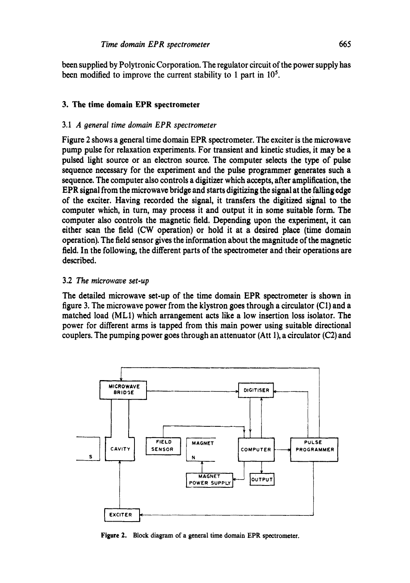been supplied by Polytronic Corporation. The regulator circuit of the power supply has been modified to improve the current stability to 1 part in 10<sup>5</sup>.

# **3. The time domain EPR spectrometer**

#### 3.1 *A general time domain EPR spectrometer*

Figure 2 shows a general time domain EPR spectrometer. The exciter is the microwave pump pulse for relaxation experiments. For transient and kinetic studies, it may be a pulsed light source or an electron source. The computer selects the type of pulse sequence necessary for the experiment and the pulse programmer generates such a sequence. The computer also controls a digitizer which accepts, after amplification, the EPR signal from the microwave bridge and starts digitizing the signal at the falling edge of the exciter. Having recorded the signal, it transfers the digitized signal to the computer which, in turn, may process it and output it in some suitable form. The computer also controls the magnetic field. Depending upon the experiment, it can either scan the field (CW operation) or hold it at a desired place (time domain operation). The field sensor gives the information about the magnitude of the magnetic field. In the following, the different parts of the spectrometer and their operations are described.

## 3.2 *The microwave set-up*

The detailed microwave set-up of the time domain EPR spectrometer is shown in figure 3. The microwave power from the klystron goes through a circulator (C1) and a matched load (ML1) which arrangement acts like a low insertion loss isolator. The power for different arms is tapped from this main power using suitable directional couplers. The pumping power goes through an attenuator (Att 1), a circulator (C2) and



Figure 2. Block diagram of a general time domain EPR spectrometer.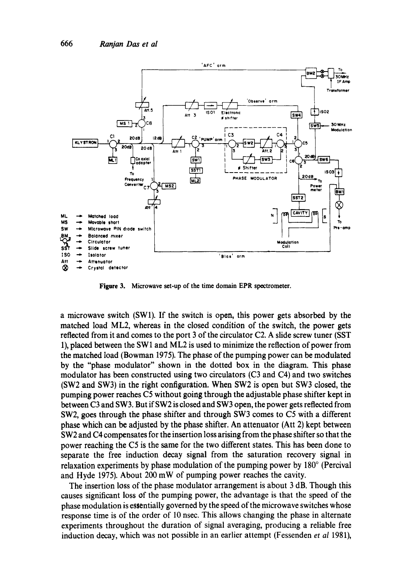

**Figure** 3. Microwave set-up of the time domain EPR spectrometer.

a microwave switch (SW1). If the switch is open, this power gets absorbed by the matched load ML2, whereas in the closed condition of the switch, the power gets reflected from it and comes to the port 3 of the circulator C2. A slide screw tuner (SST 1), placed between the SWl and ML2 is used to minimize the reflection of power from the matched load (Bowman I975). The phase of the pumping power can be modulated by the "phase modulator" shown in the dotted box in the diagram. This phase modulator has been constructed using two circulators (C3 and C4) and two switches (SW2 and SW3) in the right configuration. When SW2 is open but SW3 closed, the pumping power reaches C5 without going through the adjustable phase shifter kept in between C3 and SW3. But if SW2 is closed and SW3 open, the power gets reflected from SW2, goes through the phase shifter and through SW3 comes to C5 with a different phase which can be adjusted by the phase shifter. An attenuator (Att 2) kept between SW2 and C4 compensates for the insertion loss arising from the phase shifter so that the power reaching the C5 is the same for the two different states. This has been done to separate the free induction decay signal from the saturation recovery signal in relaxation experiments by phase modulation of the pumping power by  $180^\circ$  (Percival and Hyde 1975). About 200 mW of pumping power reaches the cavity.

The insertion loss of the phase modulator arrangement is about 3 dB. Though this causes significant loss of the pumping power, the advantage is that the speed of the phase modulation is essentially governed by the speed of the microwave switches whose response time is of the order of 10 nsec. This allows changing the phase in alternate experiments throughout the duration of signal averaging, producing a reliable free induction decay, which was not possible in an earlier attempt (Fessenden *et al* 1981),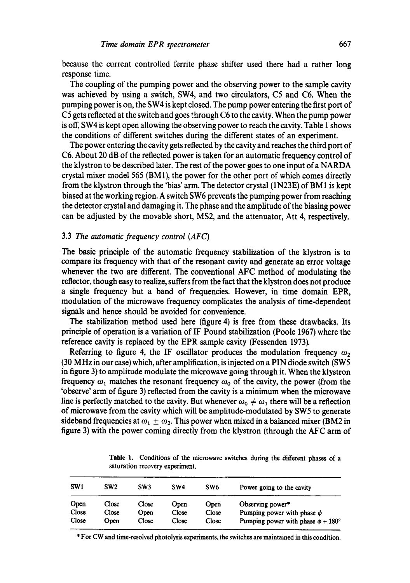because the current controlled ferrite phase shifter used there had a rather long response time.

The coupling of the pumping power and the observing power to the sample cavity was achieved by using a switch, SW4, and two circulators, C5 and C6. When the pumping power is on, the SW4 is kept closed. The pump power entering the first port of C5 gets reflected at the switch and goes through C6 to the cavity. When the pump power is off, SW4 is kept open allowing the observing power to reach the cavity. Table 1 shows the conditions of different switches during the different states of an experiment.

The power entering the cavity gets reflected by the cavity and reaches the third port of C6. About 20 dB of the reflected power is taken for an automatic frequency control of the klystron to be described later. The rest of the power goes to one input of a NARDA crystal mixer model 565 (BM1), the power for the other port of which comes directly from the klystron through the 'bias' arm. The detector crystal (1N23E) of BM 1 is kept biased at the working region. A switch SW6 prevents the pumping power from reaching the detector crystal and damaging it. The phase and the amplitude of the biasing power can be adjusted by the movable short, MS2, and the attenuator, Att 4, respectively.

# 3.3 The *automatic frequency control (AFC)*

The basic principle of the automatic frequency stabilization of the klystron is to compare its frequency with that of the resonant cavity and generate an error voltage whenever the two are different. The conventional AFC method of modulating the reflector, though easy to realize, suffers from the fact that the klystron does not produce a single frequency but a band of frequencies. However, in time domain EPR, modulation of the microwave frequency complicates the analysis of time-dependent signals and hence should be avoided for convenience.

The stabilization method used here (figure 4) is free from these drawbacks. Its principle of operation is a variation of IF Pound stabilization (Poole 1967) where the reference cavity is replaced by the EPR sample cavity (Fessenden 1973).

Referring to figure 4, the IF oscillator produces the modulation frequency  $\omega_2$ (30 MHz in our case) which, after amplification, is injected on a PIN diode switch (SW5 in figure 3) to amplitude modulate the microwave going through it. When the klystron frequency  $\omega_1$  matches the resonant frequency  $\omega_0$  of the cavity, the power (from the 'observe' arm of figure 3) reflected from the cavity is a minimum when the microwave line is perfectly matched to the cavity. But whenever  $\omega_0 \neq \omega_1$  there will be a reflection of microwave from the cavity which will be amplitude-modulated by SW5 to generate sideband frequencies at  $\omega_1 \pm \omega_2$ . This power when mixed in a balanced mixer (BM2 in figure 3) with the power coming directly from the klystron (through the AFC arm of

Table 1. Conditions of the microwave switches during the different phases of a saturation recovery experiment.

| SW <sub>1</sub> | SW <sub>2</sub> | SW3           | SW4            | SW <sub>6</sub> | Power going to the cavity                                                        |
|-----------------|-----------------|---------------|----------------|-----------------|----------------------------------------------------------------------------------|
| Open            | Close           | Close         | Open           | Open            | Observing power*                                                                 |
| Close<br>Close  | Close<br>Open   | Open<br>Close | Close<br>Close | Close<br>Close  | Pumping power with phase $\phi$<br>Pumping power with phase $\phi + 180^{\circ}$ |

\* For CW and time-resolved photolysis experiments, the switches are maintained in this condition.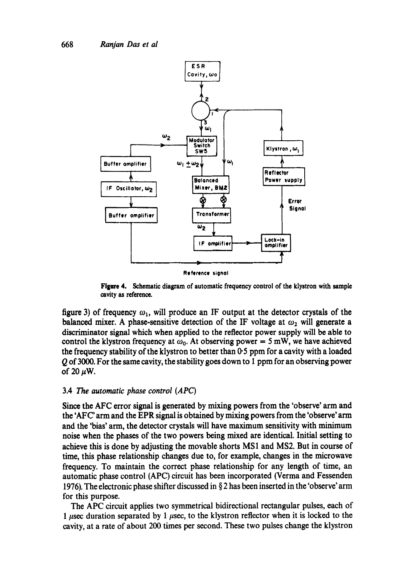

**Reference** tignol

**Figure** 4. Schematic diagram of automatic frequency control of the klystron with sample cavity as reference.

figure 3) of frequency  $\omega_1$ , will produce an IF output at the detector crystals of the balanced mixer. A phase-sensitive detection of the IF voltage at  $\omega_2$  will generate a discriminator signal which when applied to the reflector power supply will be able to control the klystron frequency at  $\omega_0$ . At observing power = 5 mW, we have achieved the frequency stability of the klystron to better than  $0.5$  ppm for a cavity with a loaded Q of 3000. For the same cavity, the stability goes down to 1 ppm for an observing power of 20  $\mu$ W.

#### 3.4 The *automatic phase control (APC)*

Since the AFC error signal is generated by mixing powers from the 'observe' arm and the 'AFC' arm and the EPR signal is obtained by mixing powers from the 'observe' arm and the 'bias' arm, the detector crystals will have maximum sensitivity with minimum noise when the phases of the two powers being mixed are identical. Initial setting to achieve this is done by adjusting the movable shorts MS1 and MS2. But in course of time, this phase relationship changes due to, for example, changes in the microwave frequency. To maintain the correct phase relationship for any length of time, an automatic phase control (APC) circuit has been incorporated (Verma and Fessenden 1976). The electronic phase shifter discussed in  $\S 2$  has been inserted in the 'observe' arm for this purpose.

The APC circuit applies two symmetrical bidirectional rectangular pulses, each of 1  $\mu$ sec duration separated by 1  $\mu$ sec, to the klystron reflector when it is locked to the cavity, at a rate of about 200 times per second. These two pulses change the klystron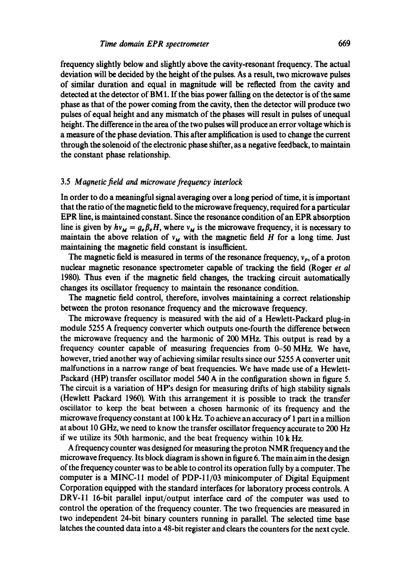frequency slightly below and slightly above the cavity-resonant frequency. The actual deviation will be decided by the height of the pulses. As a result, two microwave pulses of similar duration and equal in magnitude will be reflected from the cavity and detected at the detector of BM1. If the bias power falling on the detector is of the same phase as that of the power coming from the cavity, then the detector will produce two pulses of equal height and any mismatch of the phases will result in pulses of unequal height. The difference in the area of the two pulses will produce an error voltage which is a measure of the phase deviation. This after amplification is used to change the current through the solenoid of the electronic phase shifter, as a negative feedback, to maintain the constant phase relationship.

# 3.5 *Maonetic field and microwave frequency interlock*

In order to do a meaningful signal averaging over a long period of time, it is important that the ratio of the magnetic field to the microwave frequency, required for a particular EPR line, is maintained constant. Since the resonance condition of an EPR absorption line is given by  $hv_M = g_e \beta_e H$ , where  $v_M$  is the microwave frequency, it is necessary to maintain the above relation of  $v_M$  with the magnetic field H for a long time. Just maintaining the magnetic field constant is insufficient.

The magnetic field is measured in terms of the resonance frequency,  $v_p$ , of a proton nuclear magnetic resonance spectrometer capable of tracking the field (Roger *et al*  1980). Thus even if the magnetic field changes, the tracking circuit automatically changes its oscillator frequency to maintain the resonance condition.

The magnetic field control, therefore, involves maintaining a correct relationship between the proton resonance frequency and the microwave frequency.

The microwave frequency is measured with the aid of a Hewlett-Packard plug-in module 5255 A frequency converter which outputs one-fourth the difference between the microwave frequency and the harmonic of 200 MHz. This output is read by a frequency counter capable of measuring frequencies from 0-50 MHz. We have, however, tried another way of achieving similar results since our 5255 A converter unit malfunctions in a narrow range of beat frequencies. We have made use of a Hewlett-Packard (HP) transfer oscillator model 540 A in the configuration shown in figure 5. The circuit is a variation of HP's design for measuring drifts of high stability signals (Hewlett Packard 1960). With this arrangement it is possible to track the transfer oscillator to keep the beat between a chosen harmonic of its frequency and the microwave frequency constant at  $100 \text{ kHz}$ . To achieve an accuracy of 1 part in a million at about 10 GHz, we need to know the transfer oscillator frequency accurate to 200 Hz if we utilize its 50th harmonic, and the beat frequency within 10 k Hz.

A frequency counter was designed for measuring the proton NMR frequency and the microwave frequency. Its block diagram is shown in figure 6. The main aim in the design of the frequency counter was to be able to control its operation fully by a computer. The computer is a MINC-11 model of PDP-11/03 minicomputer of Digital Equipment Corporation equipped with the standard interfaces for laboratory process controls. A DRV-11 16-bit parallel input/output interface card of the computer was used to control the operation of the frequency counter. The two frequencies are measured in two independent 24-bit binary counters running in parallel. The selected time base latches the counted data into a 48-bit register and clears the counters for the next cycle.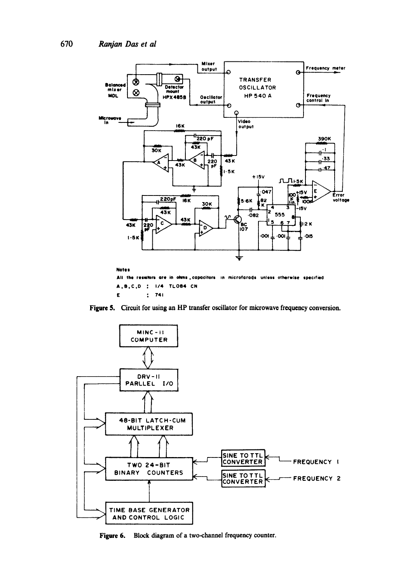

E : 741

Figure 5. Circuit for using an HP transfer oscillator for microwave frequency conversion.



Figure 6. Block diagram of a two-channel frequency counter.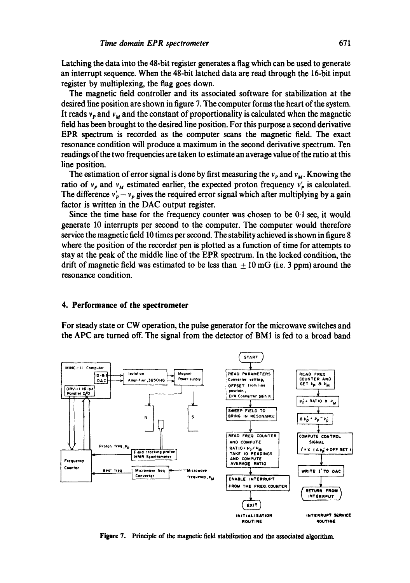Latching the data into the 48-bit register generates a flag which can be used to generate an interrupt sequence. When the 48-bit latched data are read through the 16-bit input register by multiplexing, the flag goes down.

The magnetic field controller and its associated software for stabilization at the desired line position are shown in figure 7. The computer forms the heart of the system. It reads  $v_p$  and  $v_w$  and the constant of proportionality is calculated when the magnetic field has been brought to the desired line position. For this purpose a second derivative EPR spectrum is recorded as the computer scans the magnetic field. The exact resonance condition will produce a maximum in the second derivative spectrum. Ten readings of the two frequencies are taken to estimate an average value of the ratio at this line position.

The estimation of error signal is done by first measuring the  $v_p$  and  $v_M$ . Knowing the ratio of  $v_p$  and  $v_M$  estimated earlier, the expected proton frequency  $v'_p$  is calculated. The difference  $v'_p - v_p$  gives the required error signal which after multiplying by a gain factor is written in the DAC output register.

Since the time base for the frequency counter was chosen to be  $0.1$  sec, it would generate 10 interrupts per second to the computer. The computer would therefore service the magnetic field 10 times per second. The stability achieved is shown in figure 8 where the position of the recorder pen is plotted as a function of time for attempts to stay at the peak of the middle line of the EPR spectrum. In the locked condition, the drift of magnetic field was estimated to be less than  $\pm 10$  mG (i.e. 3 ppm) around the resonance condition.

#### **4. Performance of the spectrometer**

For steady state or CW operation, the pulse generator for the microwave switches and the APC are turned off. The signal from the detector of BM1 is fed to a broad band



Figure 7. Principle of the magnetic field stabilization and the associated algorithm.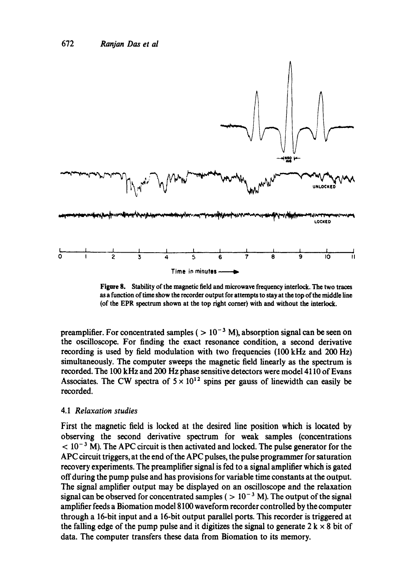

**Figure 8. Stability of the magnetic field and microwave frequency interlock. The two traces as a function of time show the recorder output for attempts to stay at the top of the middle line (of the EPR spectrum shown at the top fight corner) with and without the interlock.** 

preamplifier. For concentrated samples ( $> 10^{-3}$  M), absorption signal can be seen on the oscilloscope. For finding the exact resonance condition, a second derivative recording is used by field modulation with two frequencies (100 kHz and 200 Hz) simultaneously. The computer sweeps the magnetic field linearly as the spectrum is recorded. The 100 kHz and 200 Hz phase sensitive detectors were model 4110 of Evans Associates. The CW spectra of  $5 \times 10^{12}$  spins per gauss of linewidth can easily be recorded.

# 4.1 *Relaxation studies*

First the magnetic field is locked at the desired line position which is located by observing the second derivative spectrum for weak samples (concentrations  $< 10^{-3}$  M). The APC circuit is then activated and locked. The pulse generator for the APC circuit triggers, at the end of the APC pulses, the pulse programmer for saturation recovery experiments. The preamplifier signal is fed to a signal amplifier which is gated off during the pump pulse and has provisions for variable time constants at the output. The signal amplifier output may be displayed on an oscilloscope and the relaxation signal can be observed for concentrated samples ( $> 10^{-3}$  M). The output of the signal amplifier feeds a Biomation model 8100 waveform recorder controlled by the computer through a 16-bit input and a 16-bit output parallel ports. This recorder is triggered at the falling edge of the pump pulse and it digitizes the signal to generate  $2 \text{ k} \times 8$  bit of data. The computer transfers these data from Biomation to its memory.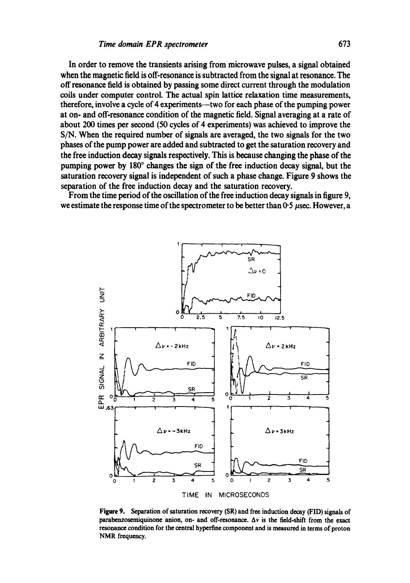**In order to remove the transients arising from microwave pulses, a signal obtained when the magnetic field is off-resonance is subtracted from the signal at resonance. The off resonance field is obtained by passing some direct current through the modulation coils under computer control. The actual spin lattice relaxation time measurements, therefore, involve a cycle of 4 experiments--two for each phase of the pumping power at on- and off-resonance condition of the magnetic field. Signal averaging at a rate of about 200 times per second (50 cycles of 4 experiments) was achieved to improve the S/N. When the required number of signals are averaged, the two signals for the two phases of the pump power are added and subtracted to get the saturation recovery and the free induction decay signals respectively. This is because changing the phase of the**  pumping power by 180° changes the sign of the free induction decay signal, but the saturation recovery signal is independent of such a phase change. Figure 9 shows the **separation of the free induction decay and the saturation recovery.** 

**From the time period of the oscillation of the free induction decay signals in figure 9,**  we estimate the response time of the spectrometer to be better than 0-5 usec. However, a



**Figure 9. Separation of saturation recovery (SR) and free induction decay (FID) signals of**  parabenzosemiquinone anion, on- and off-resonance.  $\Delta v$  is the field-shift from the exact resonance condition for the central hyperfine component and is measured in terms of proton **NMR frequency.**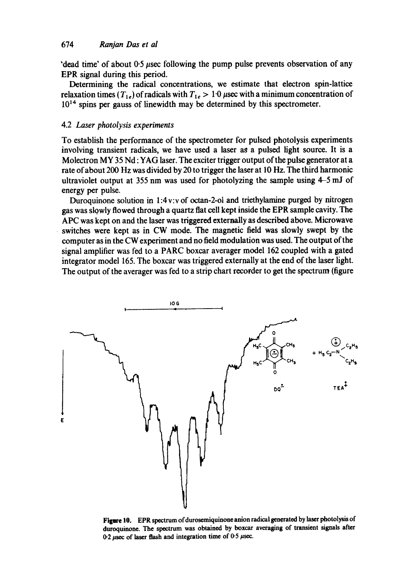'dead time' of about 0.5 *usec* following the pump pulse prevents observation of any **EPR** signal during this period.

Determining the radical concentrations, we estimate that electron spin-lattice relaxation times  $(T_{1e})$  of radicals with  $T_{1e} > 1.0$  *psec* with a minimum concentration of **1014** spins per gauss of linewidth may be determined by this spectrometer.

# **4.2** *Laser photolysis experiments*

To establish the performance of the spectrometer for pulsed photolysis experiments involving transient radicals, we have used a laser as a pulsed light source. It is a Molectron MY **35** Nd : **YAG** laser. The exciter trigger output of the pulse generator at a rate of about 200 Hz was divided by **20** to trigger the laser at **10** Hz. The third harmonic ultraviolet output at **355** nm was used for photolyzing the sample using **4-5** mJ of energy per pulse.

Duroquinone solution in **1:4v:v** of octan-2-01 and triethyiamine purged by nitrogen gas was slowly flowed through a quartz flat cell kept inside the EPR sample cavity. The **APC** was kept on and the laser was triggered externally as described above. Microwave switches were kept as in CW mode. The magnetic field was slowly swept by the computer as in the **CW** experiment and no field modulation was used. The output of the signal amplifier was fed to a **PARC** boxcar averager model 162 coupled with a gated integrator model **165.** The boxcar was triggered externally at the end of the laser light. The output of the averager was fed to a strip chart recorder to get the spectrum (figure



Figure 10. EPR spectrum of durosemiquinone anion radical generated by laser photolysis of **duroquinone. The spectrum was obtained by boxcar aveiaging of transient signals after 02** *psec* **of laser flash and integration time of 05 psec.**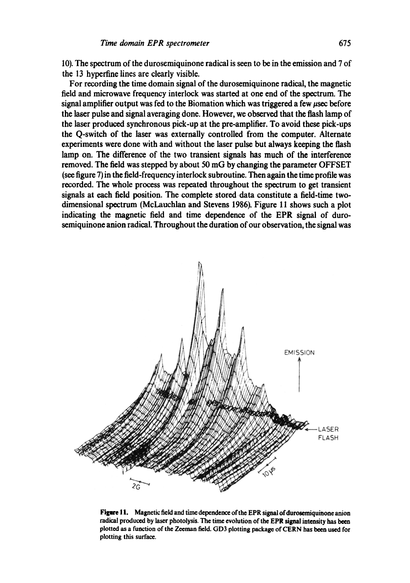10). The spectrum of the durosemiquinone radical is seen to be in the emission and 7 of the 13 hyperfine lines are clearly visible.

For recording the time domain signal of the durosemiquinone radical, the magnetic field and microwave frequency interlock was started at one end of the spectrum. The signal amplifier output was fed to the Biomation which was triggered a few  $\mu$ sec before the laser pulse and signal averaging done. However, we observed that the flash lamp of the laser produced synchronous pick-up at the pre-amplifier. To avoid these pick-ups the Q-switch of the laser was externally controlled from the computer. Alternate experiments were done with and without the laser pulse but always keeping the flash lamp on. The difference of the two transient signals has much of the interference removed. The field was stepped by about 50 mG by changing the parameter OFFSET (see figure 7) in the field-frequency interlock subroutine. Then again the time profile was recorded. The whole process was repeated throughout the spectrum to get transient signals at each field position. The complete stored data constitute a field-time twodimensional spectrum (McLauchlan and Stevens 1986). Figure 11 shows such a plot indicating the magnetic field and time dependence of the EPR signal of durosemiquinone anion radical. Throughout the duration of our observation, the signal was



Figure 11. Magnetic field and time dependence of the EPR signal of durosemiquinone anion radical produced by laser photolysis. The time evolution of the EPR signal intensity has been plotted as a function of the Zceman field. GD3 plotting package of CERN has been used for plotting this surface.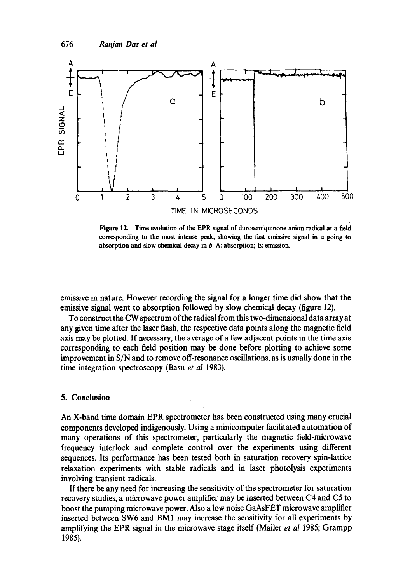

**Figure** 12. Time **evolution of the EPR signal of durosemiquinone anion radical at a** field corresponding to the **most intense peak, showing** the fast emissive signal in a going to absorption and slow chemical decay in b. A: absorption; E: emission.

emissive in nature. However recording the signal for a longer time did show that the emissive signal went to absorption followed by slow chemical decay (figure 12).

To construct the CW spectrum of the radical from this two-dimensional data array at any given time after the laser flash, the respective data points along the magnetic field axis may be plotted. If necessary, the average of a few adjacent points in the time axis corresponding to each field position may be done before plotting to achieve some improvement in S/N and to remove off-resonance oscillations, as is usually done in the time integration spectroscopy (Basu *et al* 1983).

#### **5. Conclusion**

An X-band time domain EPR spectrometer has been constructed using many crucial components developed indigenously. Using a minicomputer facilitated automation of many operations of this spectrometer, particularly the magnetic field-microwave frequency interlock and complete control over the experiments using different sequences. Its performance has been tested both in saturation recovery spin-lattice relaxation experiments with stable radicals and in laser photolysis experiments involving transient radicals.

If there be any need for increasing the sensitivity of the spectrometer for saturation recovery studies, a microwave power amplifier may be inserted between C4 and C5 to boost the pumping microwave power. Also a low noise GaAsFET microwave amplifier inserted between SW6 and BM1 may increase the sensitivity for all experiments by amplifying the EPR signal in the microwave stage itself (Mailer *et al* 1985; Grampp 1985).